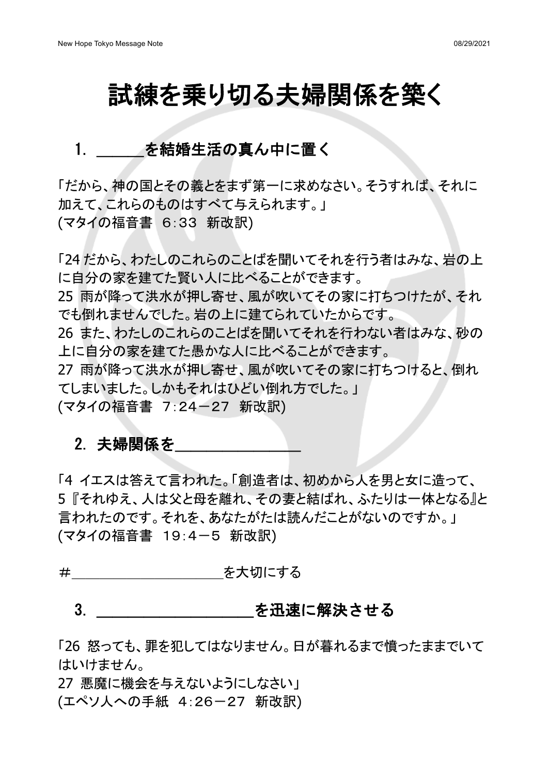# 試練を乗り切る夫婦関係を築く

# 1. を結婚生活の真ん中に置く

「だから、神の国とその義とをまず第一に求めなさい。そうすれば、それに 加えて、これらのものはすべて与えられます。」 (マタイの福音書 6:33 新改訳)

「24 だから、わたしのこれらのことばを聞いてそれを行う者はみな、岩の上 に自分の家を建てた腎い人に比べることができます。 25 雨が降って洪水が押し寄せ、風が吹いてその家に打ちつけたが、それ でも倒れませんでした。岩の上に建てられていたからです。 26 また、わたしのこれらのことばを聞いてそれを行わない者はみな、砂の 上に自分䛾家を建てた愚かな人に比べることができます。 27 雨が降って洪水が押し寄せ、風が吹いてその家に打ちつけると、倒れ てしまいました。しかもそれはひどい倒れ方でした。」 (マタイの福音書 7:24-27 新改訳)

#### 2. 夫婦関係を

「4 イエスは答えて言われた。「創造者は、初めから人を男と女に造って、 5『それゆえ、人は父と母を離れ、その妻と結ばれ、ふたりは一体となる』と 言われたのです。それを、あなたがたは読んだことがないのですか。」 (マタイの福音書 19:4-5 新改訳)

#\_\_\_\_\_\_\_\_\_\_\_を大切にする

#### 3. こうしん おこを迅速に解決させる

「26 怒っても、罪を犯してはなりません。日が暮れるまで憤ったままでいて はいけません。

27 悪魔に機会を与えないようにしなさい」 (エペソ人への手紙 4:26-27 新改訳)